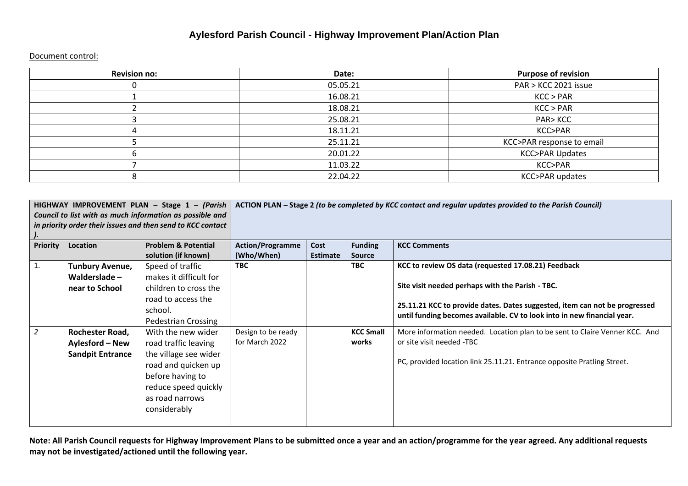## **Aylesford Parish Council - Highway Improvement Plan/Action Plan**

Document control:

| <b>Revision no:</b> | Date:    | <b>Purpose of revision</b> |
|---------------------|----------|----------------------------|
|                     | 05.05.21 | PAR > KCC 2021 issue       |
|                     | 16.08.21 | KCC > PAR                  |
|                     | 18.08.21 | KCC > PAR                  |
|                     | 25.08.21 | <b>PAR&gt;KCC</b>          |
|                     | 18.11.21 | KCC>PAR                    |
|                     | 25.11.21 | KCC>PAR response to email  |
|                     | 20.01.22 | <b>KCC&gt;PAR Updates</b>  |
|                     | 11.03.22 | KCC>PAR                    |
|                     | 22.04.22 | KCC>PAR updates            |

| HIGHWAY IMPROVEMENT PLAN - Stage 1 - (Parish<br>Council to list with as much information as possible and<br>in priority order their issues and then send to KCC contact |                                                                                                   | ACTION PLAN - Stage 2 (to be completed by KCC contact and regular updates provided to the Parish Council)                                                                        |                                                    |                         |                                         |                                                                                                                                                                                                                                                                                                                                                                              |
|-------------------------------------------------------------------------------------------------------------------------------------------------------------------------|---------------------------------------------------------------------------------------------------|----------------------------------------------------------------------------------------------------------------------------------------------------------------------------------|----------------------------------------------------|-------------------------|-----------------------------------------|------------------------------------------------------------------------------------------------------------------------------------------------------------------------------------------------------------------------------------------------------------------------------------------------------------------------------------------------------------------------------|
| <b>Priority</b>                                                                                                                                                         | <b>Location</b>                                                                                   | <b>Problem &amp; Potential</b><br>solution (if known)                                                                                                                            | <b>Action/Programme</b><br>(Who/When)              | Cost<br><b>Estimate</b> | <b>Funding</b><br><b>Source</b>         | <b>KCC Comments</b>                                                                                                                                                                                                                                                                                                                                                          |
|                                                                                                                                                                         | <b>Tunbury Avenue,</b><br>Walderslade $-$<br>near to School<br>Rochester Road,<br>Aylesford – New | Speed of traffic<br>makes it difficult for<br>children to cross the<br>road to access the<br>school.<br><b>Pedestrian Crossing</b><br>With the new wider<br>road traffic leaving | <b>TBC</b><br>Design to be ready<br>for March 2022 |                         | <b>TBC</b><br><b>KCC Small</b><br>works | KCC to review OS data (requested 17.08.21) Feedback<br>Site visit needed perhaps with the Parish - TBC.<br>25.11.21 KCC to provide dates. Dates suggested, item can not be progressed<br>until funding becomes available. CV to look into in new financial year.<br>More information needed. Location plan to be sent to Claire Venner KCC. And<br>or site visit needed -TBC |
|                                                                                                                                                                         | <b>Sandpit Entrance</b>                                                                           | the village see wider<br>road and quicken up<br>before having to<br>reduce speed quickly<br>as road narrows<br>considerably                                                      |                                                    |                         |                                         | PC, provided location link 25.11.21. Entrance opposite Pratling Street.                                                                                                                                                                                                                                                                                                      |

**Note: All Parish Council requests for Highway Improvement Plans to be submitted once a year and an action/programme for the year agreed. Any additional requests may not be investigated/actioned until the following year.**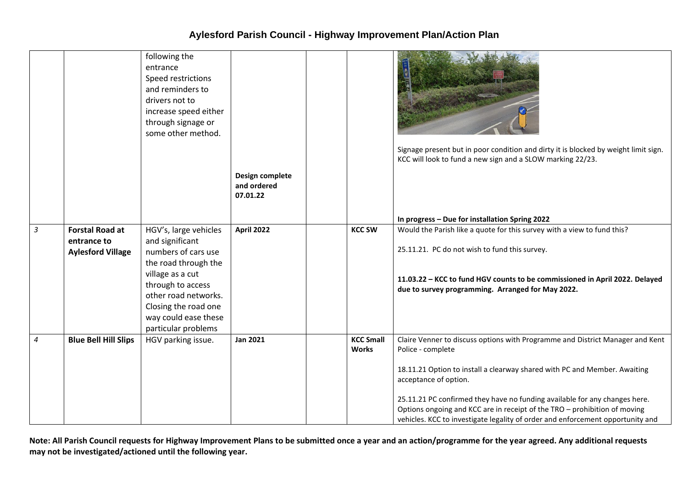## **Aylesford Parish Council - Highway Improvement Plan/Action Plan**

|                |                                                                   | following the<br>entrance<br>Speed restrictions<br>and reminders to<br>drivers not to<br>increase speed either<br>through signage or<br>some other method.                                                                      |                                            |                                  | Signage present but in poor condition and dirty it is blocked by weight limit sign.<br>KCC will look to fund a new sign and a SLOW marking 22/23.                                                                                                                                                                                                                                                                                                     |
|----------------|-------------------------------------------------------------------|---------------------------------------------------------------------------------------------------------------------------------------------------------------------------------------------------------------------------------|--------------------------------------------|----------------------------------|-------------------------------------------------------------------------------------------------------------------------------------------------------------------------------------------------------------------------------------------------------------------------------------------------------------------------------------------------------------------------------------------------------------------------------------------------------|
|                |                                                                   |                                                                                                                                                                                                                                 | Design complete<br>and ordered<br>07.01.22 |                                  |                                                                                                                                                                                                                                                                                                                                                                                                                                                       |
|                |                                                                   |                                                                                                                                                                                                                                 |                                            |                                  | In progress - Due for installation Spring 2022                                                                                                                                                                                                                                                                                                                                                                                                        |
| 3              | <b>Forstal Road at</b><br>entrance to<br><b>Aylesford Village</b> | HGV's, large vehicles<br>and significant<br>numbers of cars use<br>the road through the<br>village as a cut<br>through to access<br>other road networks.<br>Closing the road one<br>way could ease these<br>particular problems | <b>April 2022</b>                          | <b>KCC SW</b>                    | Would the Parish like a quote for this survey with a view to fund this?<br>25.11.21. PC do not wish to fund this survey.<br>11.03.22 - KCC to fund HGV counts to be commissioned in April 2022. Delayed<br>due to survey programming. Arranged for May 2022.                                                                                                                                                                                          |
| $\overline{4}$ | <b>Blue Bell Hill Slips</b>                                       | HGV parking issue.                                                                                                                                                                                                              | <b>Jan 2021</b>                            | <b>KCC Small</b><br><b>Works</b> | Claire Venner to discuss options with Programme and District Manager and Kent<br>Police - complete<br>18.11.21 Option to install a clearway shared with PC and Member. Awaiting<br>acceptance of option.<br>25.11.21 PC confirmed they have no funding available for any changes here.<br>Options ongoing and KCC are in receipt of the TRO - prohibition of moving<br>vehicles. KCC to investigate legality of order and enforcement opportunity and |

**Note: All Parish Council requests for Highway Improvement Plans to be submitted once a year and an action/programme for the year agreed. Any additional requests may not be investigated/actioned until the following year.**